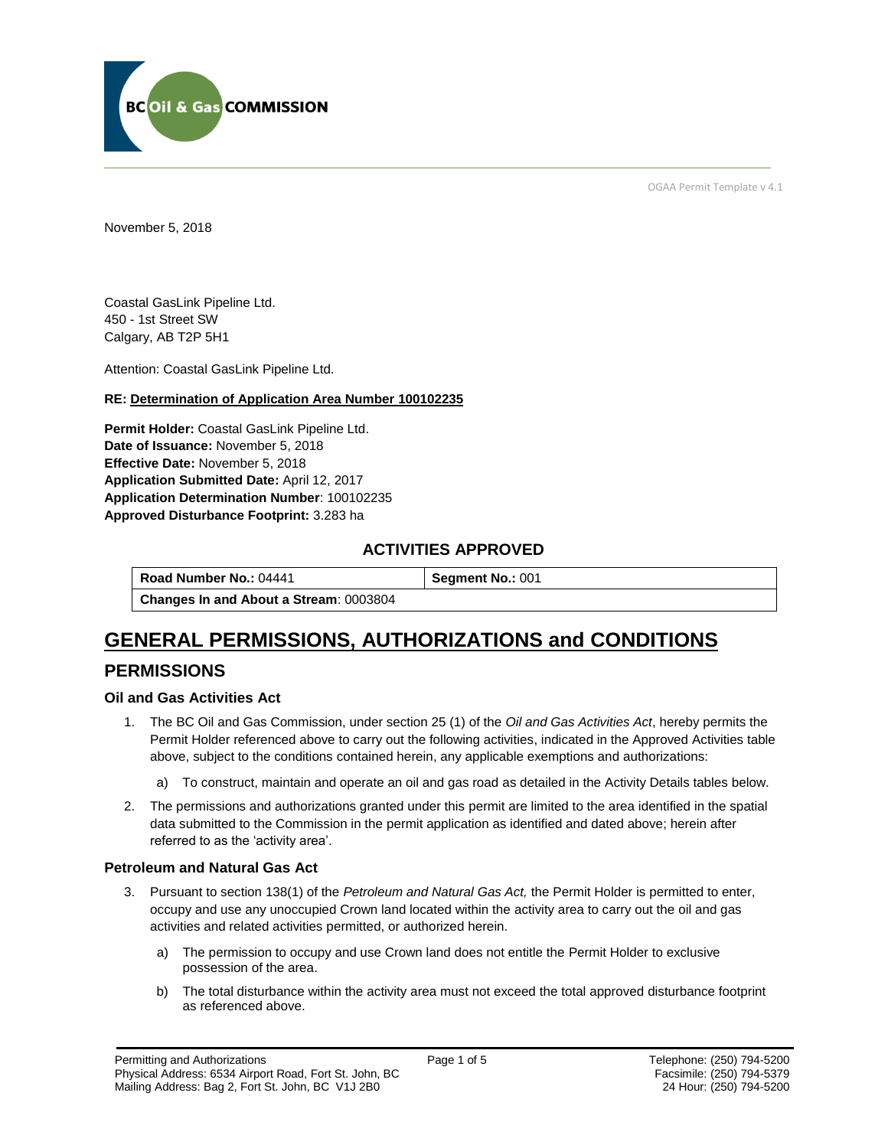

OGAA Permit Template v 4.1

November 5, 2018

Coastal GasLink Pipeline Ltd. 450 - 1st Street SW Calgary, AB T2P 5H1

[Attention:](#page-0-0) Coastal GasLink Pipeline Ltd.

#### **RE: Determination of Application Area Number 100102235**

**[Permit Holder:](#page-0-0)** Coastal GasLink Pipeline Ltd. **[Date of Issuance:](#page-0-0)** November 5, 2018 **[Effective Date:](#page-0-1)** November 5, 2018 **[Application Submitted Date:](#page-0-0)** April 12, 2017 **[Application Determination Number](#page-0-0)**: 100102235 **Approved Disturbance Footprint:** 3.283 ha

## **ACTIVITIES APPROVED**

**[Road Number No.:](#page-0-0) 04441 <b>[Segment No.:](https://bi.bcogc.ca/Application%20Processing/Interactive%20Reports/(BIL-041)%20AMS%20Decision%20Summary.aspx) 001 [Changes In and About a Stream](#page-0-0)**: 0003804

# **GENERAL PERMISSIONS, AUTHORIZATIONS and CONDITIONS**

## **PERMISSIONS**

#### **Oil and Gas Activities Act**

- <span id="page-0-0"></span>1. The BC Oil and Gas Commission, under section 25 (1) of the *Oil and Gas Activities Act*, hereby permits the Permit Holder referenced above to carry out the following activities, indicated in the Approved Activities table above, subject to the conditions contained herein, any applicable exemptions and authorizations:
	- a) To construct, maintain and operate an oil and gas road as detailed in the Activity Details tables below.
- <span id="page-0-1"></span>2. The permissions and authorizations granted under this permit are limited to the area identified in the spatial data submitted to the Commission in the permit application as identified and dated above; herein after referred to as the 'activity area'.

#### **Petroleum and Natural Gas Act**

- 3. Pursuant to section 138(1) of the *Petroleum and Natural Gas Act,* the Permit Holder is permitted to enter, occupy and use any unoccupied Crown land located within the activity area to carry out the oil and gas activities and related activities permitted, or authorized herein.
	- a) The permission to occupy and use Crown land does not entitle the Permit Holder to exclusive possession of the area.
	- b) The total disturbance within the activity area must not exceed the total approved disturbance footprint as referenced above.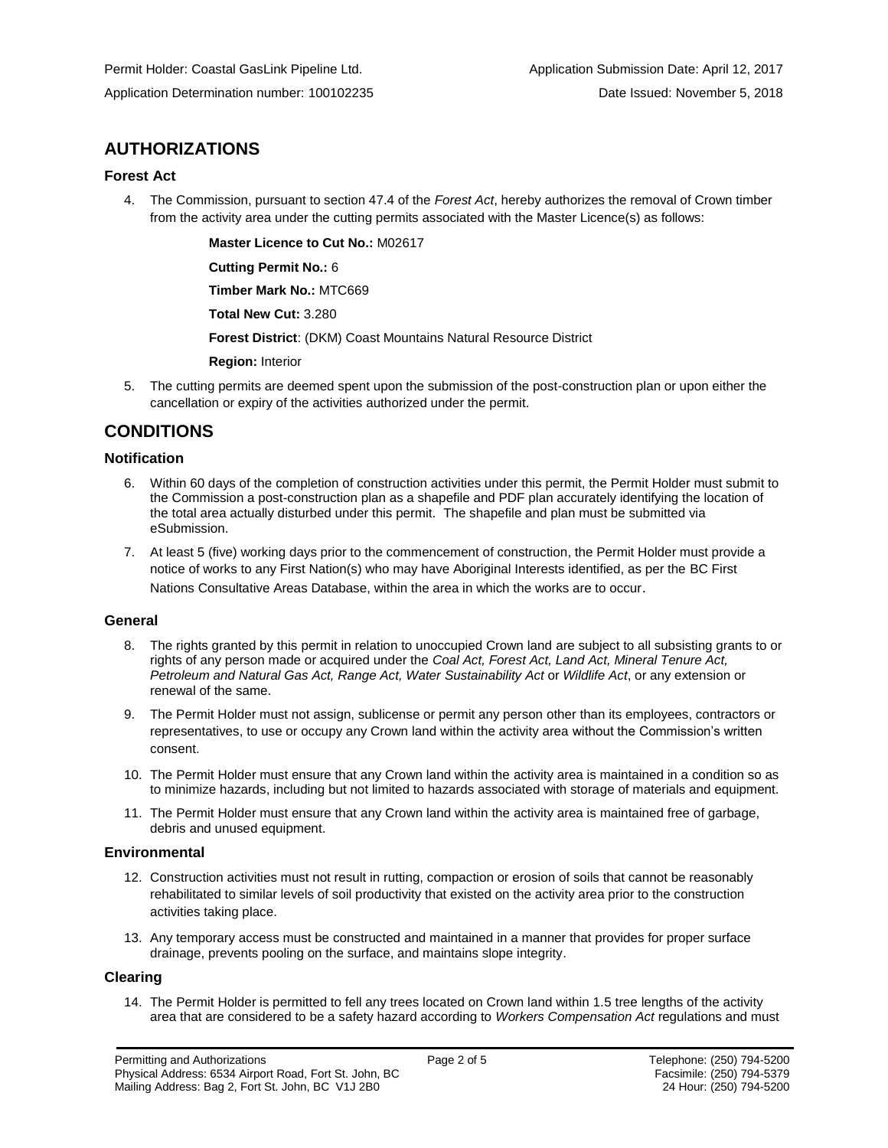## **AUTHORIZATIONS**

#### **Forest Act**

4. The Commission, pursuant to section 47.4 of the *Forest Act*, hereby authorizes the removal of Crown timber from the activity area under the cutting permits associated with the Master Licence(s) as follows:

**[Master Licence to Cut No.:](#page-0-0)** M02617

**[Cutting Permit No.:](#page-0-0)** 6

**[Timber Mark No.:](#page-0-0)** MTC669

**[Total New Cut:](#page-0-0)** 3.280

**[Forest District](https://ams-crd.bcogc.ca/crd/)**: (DKM) Coast Mountains Natural Resource District

**[Region:](#page-0-1)** Interior

5. The cutting permits are deemed spent upon the submission of the post-construction plan or upon either the cancellation or expiry of the activities authorized under the permit.

## **CONDITIONS**

#### **Notification**

- 6. Within 60 days of the completion of construction activities under this permit, the Permit Holder must submit to the Commission a post-construction plan as a shapefile and PDF plan accurately identifying the location of the total area actually disturbed under this permit. The shapefile and plan must be submitted via eSubmission.
- 7. At least 5 (five) working days prior to the commencement of construction, the Permit Holder must provide a notice of works to any First Nation(s) who may have Aboriginal Interests identified, as per the BC First Nations Consultative Areas Database, within the area in which the works are to occur.

#### **General**

- 8. The rights granted by this permit in relation to unoccupied Crown land are subject to all subsisting grants to or rights of any person made or acquired under the *Coal Act, Forest Act, Land Act, Mineral Tenure Act, Petroleum and Natural Gas Act, Range Act, Water Sustainability Act* or *Wildlife Act*, or any extension or renewal of the same.
- 9. The Permit Holder must not assign, sublicense or permit any person other than its employees, contractors or representatives, to use or occupy any Crown land within the activity area without the Commission's written consent.
- 10. The Permit Holder must ensure that any Crown land within the activity area is maintained in a condition so as to minimize hazards, including but not limited to hazards associated with storage of materials and equipment.
- 11. The Permit Holder must ensure that any Crown land within the activity area is maintained free of garbage, debris and unused equipment.

#### **Environmental**

- 12. Construction activities must not result in rutting, compaction or erosion of soils that cannot be reasonably rehabilitated to similar levels of soil productivity that existed on the activity area prior to the construction activities taking place.
- 13. Any temporary access must be constructed and maintained in a manner that provides for proper surface drainage, prevents pooling on the surface, and maintains slope integrity.

#### **Clearing**

14. The Permit Holder is permitted to fell any trees located on Crown land within 1.5 tree lengths of the activity area that are considered to be a safety hazard according to *Workers Compensation Act* regulations and must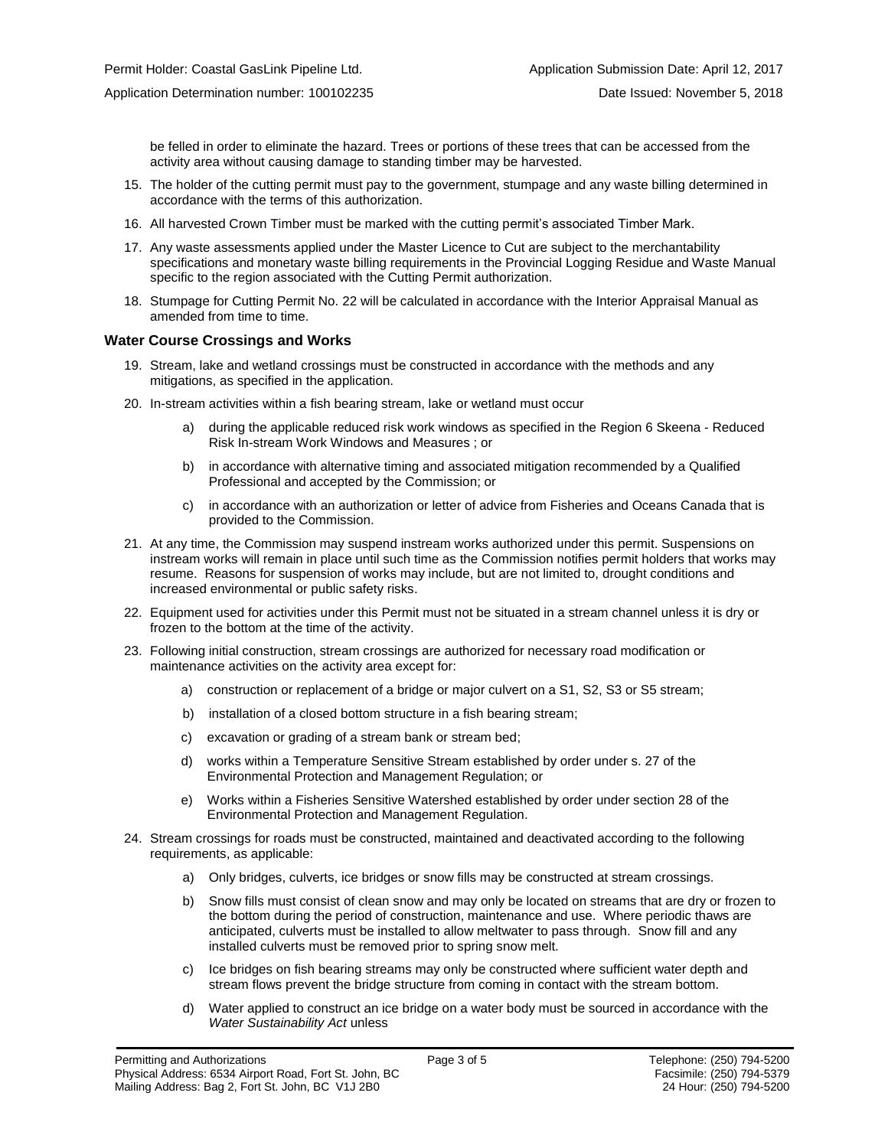be felled in order to eliminate the hazard. Trees or portions of these trees that can be accessed from the activity area without causing damage to standing timber may be harvested.

- 15. The holder of the cutting permit must pay to the government, stumpage and any waste billing determined in accordance with the terms of this authorization.
- 16. All harvested Crown Timber must be marked with the cutting permit's associated Timber Mark.
- 17. Any waste assessments applied under the Master Licence to Cut are subject to the merchantability specifications and monetary waste billing requirements in the Provincial Logging Residue and Waste Manual specific to the region associated with the Cutting Permit authorization.
- 18. Stumpage for Cutting Permit No. 22 will be calculated in accordance with the Interior Appraisal Manual as amended from time to time.

#### **Water Course Crossings and Works**

- 19. Stream, lake and wetland crossings must be constructed in accordance with the methods and any mitigations, as specified in the application.
- 20. In-stream activities within a fish bearing stream, lake or wetland must occur
	- a) [during the applicable reduced risk work windows as specified in the](#page-0-0) Region 6 Skeena Reduced Risk In-stream Work Windows and Measures ; or
	- b) in accordance with alternative timing and associated mitigation recommended by a Qualified Professional and accepted by the Commission; or
	- c) in accordance with an authorization or letter of advice from Fisheries and Oceans Canada that is provided to the Commission.
- 21. At any time, the Commission may suspend instream works authorized under this permit. Suspensions on instream works will remain in place until such time as the Commission notifies permit holders that works may resume. Reasons for suspension of works may include, but are not limited to, drought conditions and increased environmental or public safety risks.
- 22. Equipment used for activities under this Permit must not be situated in a stream channel unless it is dry or frozen to the bottom at the time of the activity.
- 23. Following initial construction, stream crossings are authorized for necessary road modification or maintenance activities on the activity area except for:
	- a) construction or replacement of a bridge or major culvert on a S1, S2, S3 or S5 stream;
	- b) installation of a closed bottom structure in a fish bearing stream;
	- c) excavation or grading of a stream bank or stream bed;
	- d) works within a Temperature Sensitive Stream established by order under s. 27 of the Environmental Protection and Management Regulation; or
	- e) Works within a Fisheries Sensitive Watershed established by order under section 28 of the Environmental Protection and Management Regulation.
- 24. Stream crossings for roads must be constructed, maintained and deactivated according to the following requirements, as applicable:
	- a) Only bridges, culverts, ice bridges or snow fills may be constructed at stream crossings.
	- b) Snow fills must consist of clean snow and may only be located on streams that are dry or frozen to the bottom during the period of construction, maintenance and use. Where periodic thaws are anticipated, culverts must be installed to allow meltwater to pass through. Snow fill and any installed culverts must be removed prior to spring snow melt.
	- c) Ice bridges on fish bearing streams may only be constructed where sufficient water depth and stream flows prevent the bridge structure from coming in contact with the stream bottom.
	- d) Water applied to construct an ice bridge on a water body must be sourced in accordance with the *Water Sustainability Act* unless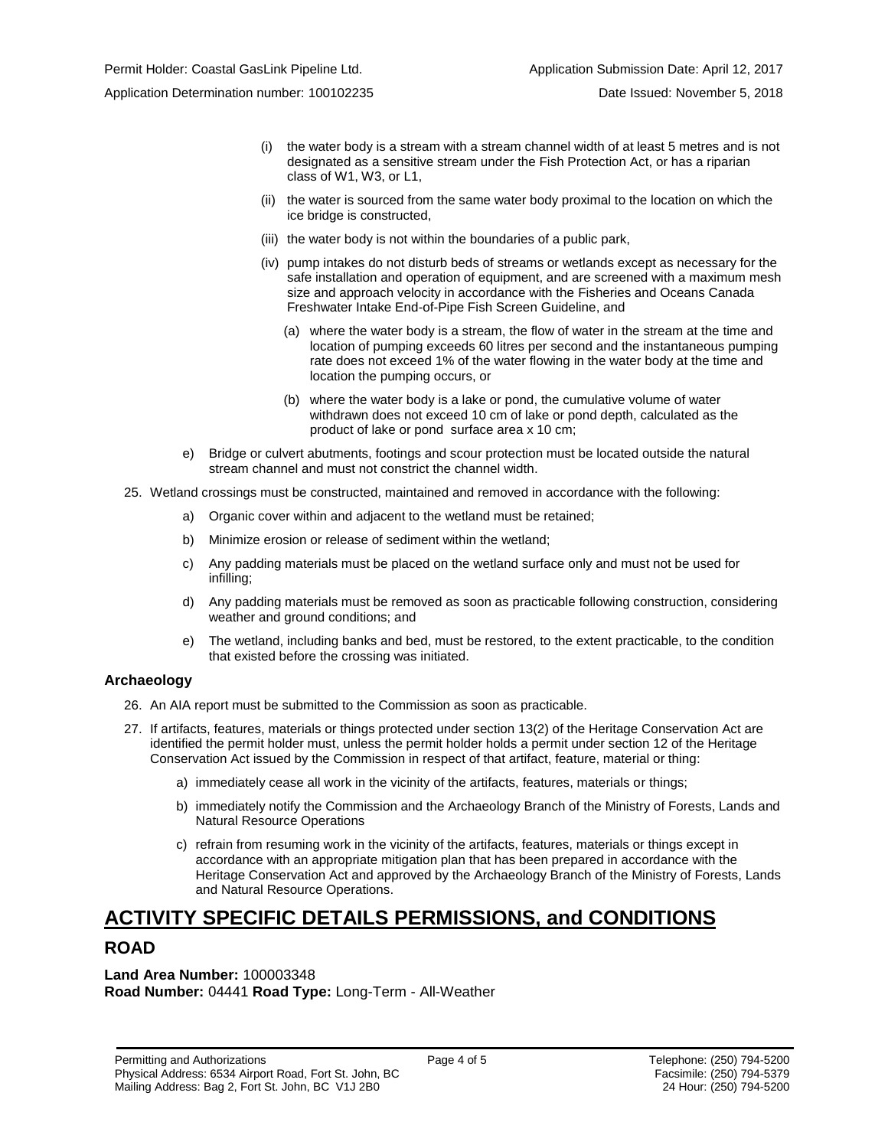- (i) the water body is a stream with a stream channel width of at least 5 metres and is not designated as a sensitive stream under the Fish Protection Act, or has a riparian class of W1, W3, or L1,
- (ii) the water is sourced from the same water body proximal to the location on which the ice bridge is constructed,
- (iii) the water body is not within the boundaries of a public park,
- (iv) pump intakes do not disturb beds of streams or wetlands except as necessary for the safe installation and operation of equipment, and are screened with a maximum mesh size and approach velocity in accordance with the Fisheries and Oceans Canada Freshwater Intake End-of-Pipe Fish Screen Guideline, and
	- (a) where the water body is a stream, the flow of water in the stream at the time and location of pumping exceeds 60 litres per second and the instantaneous pumping rate does not exceed 1% of the water flowing in the water body at the time and location the pumping occurs, or
	- (b) where the water body is a lake or pond, the cumulative volume of water withdrawn does not exceed 10 cm of lake or pond depth, calculated as the product of lake or pond surface area x 10 cm;
- e) Bridge or culvert abutments, footings and scour protection must be located outside the natural stream channel and must not constrict the channel width.
- 25. Wetland crossings must be constructed, maintained and removed in accordance with the following:
	- a) Organic cover within and adjacent to the wetland must be retained;
	- b) Minimize erosion or release of sediment within the wetland;
	- c) Any padding materials must be placed on the wetland surface only and must not be used for infilling;
	- d) Any padding materials must be removed as soon as practicable following construction, considering weather and ground conditions; and
	- e) The wetland, including banks and bed, must be restored, to the extent practicable, to the condition that existed before the crossing was initiated.

#### **Archaeology**

- 26. An AIA report must be submitted to the Commission as soon as practicable.
- 27. If artifacts, features, materials or things protected under section 13(2) of the Heritage Conservation Act are identified the permit holder must, unless the permit holder holds a permit under section 12 of the Heritage Conservation Act issued by the Commission in respect of that artifact, feature, material or thing:
	- a) immediately cease all work in the vicinity of the artifacts, features, materials or things;
	- b) immediately notify the Commission and the Archaeology Branch of the Ministry of Forests, Lands and Natural Resource Operations
	- c) refrain from resuming work in the vicinity of the artifacts, features, materials or things except in accordance with an appropriate mitigation plan that has been prepared in accordance with the Heritage Conservation Act and approved by the Archaeology Branch of the Ministry of Forests, Lands and Natural Resource Operations.

# **ACTIVITY SPECIFIC DETAILS PERMISSIONS, and CONDITIONS**

## **ROAD**

**Land Area Number:** 100003348 **Road Number:** 04441 **Road Type:** Long-Term - All-Weather